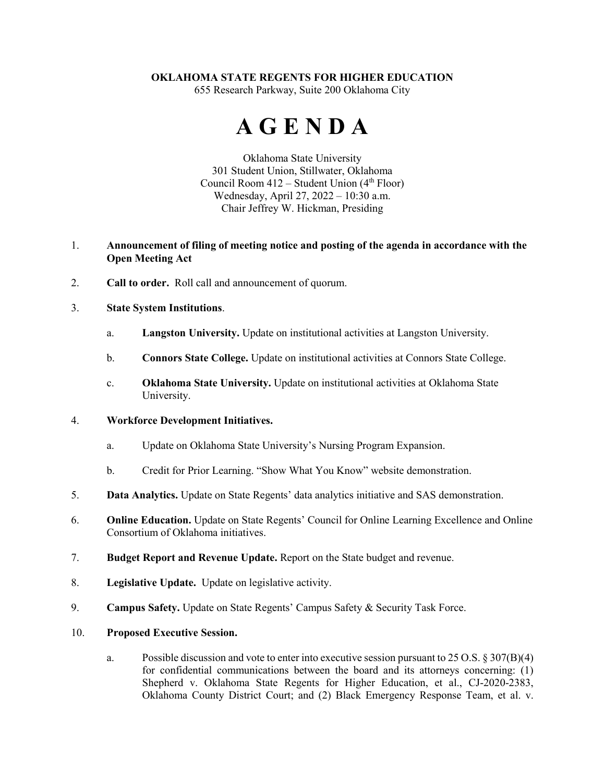# **OKLAHOMA STATE REGENTS FOR HIGHER EDUCATION**

655 Research Parkway, Suite 200 Oklahoma City

# **A G E N D A**

Oklahoma State University 301 Student Union, Stillwater, Oklahoma Council Room  $412$  – Student Union  $(4<sup>th</sup> Floor)$ Wednesday, April 27, 2022 – 10:30 a.m. Chair Jeffrey W. Hickman, Presiding

## 1. **Announcement of filing of meeting notice and posting of the agenda in accordance with the Open Meeting Act**

2. **Call to order.** Roll call and announcement of quorum.

## 3. **State System Institutions**.

- a. **Langston University.** Update on institutional activities at Langston University.
- b. **Connors State College.** Update on institutional activities at Connors State College.
- c. **Oklahoma State University.** Update on institutional activities at Oklahoma State University.

### 4. **Workforce Development Initiatives.**

- a. Update on Oklahoma State University's Nursing Program Expansion.
- b. Credit for Prior Learning. "Show What You Know" website demonstration.
- 5. **Data Analytics.** Update on State Regents' data analytics initiative and SAS demonstration.
- 6. **Online Education.** Update on State Regents' Council for Online Learning Excellence and Online Consortium of Oklahoma initiatives.
- 7. **Budget Report and Revenue Update.** Report on the State budget and revenue.
- 8. **Legislative Update.** Update on legislative activity.
- 9. **Campus Safety.** Update on State Regents' Campus Safety & Security Task Force.

#### 10. **Proposed Executive Session.**

a. Possible discussion and vote to enter into executive session pursuant to 25 O.S. § 307(B)(4) for confidential communications between the board and its attorneys concerning: (1) Shepherd v. Oklahoma State Regents for Higher Education, et al., CJ-2020-2383, Oklahoma County District Court; and (2) Black Emergency Response Team, et al. v.